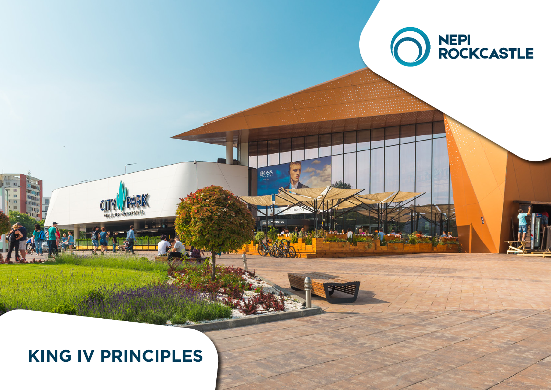

#### **KING IV PRINCIPLES**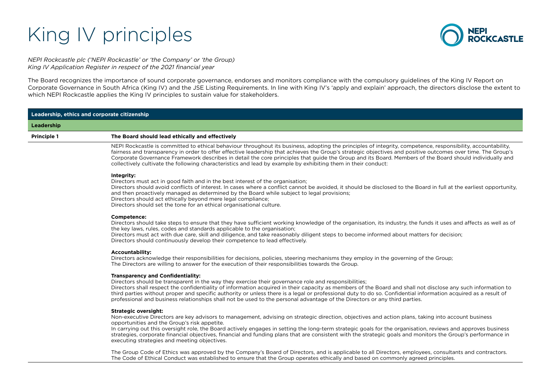# King IV principles



*NEPI Rockcastle plc ('NEPI Rockcastle' or 'the Company' or 'the Group) King IV Application Register in respect of the 2021 financial year*

The Board recognizes the importance of sound corporate governance, endorses and monitors compliance with the compulsory guidelines of the King IV Report on Corporate Governance in South Africa (King IV) and the JSE Listing Requirements. In line with King IV's 'apply and explain' approach, the directors disclose the extent to which NEPI Rockcastle applies the King IV principles to sustain value for stakeholders.

| Leadership, ethics and corporate citizenship |                                                                                                                                                                                                                                                                                                                                                                                                                                                                                                                                                                                                                   |
|----------------------------------------------|-------------------------------------------------------------------------------------------------------------------------------------------------------------------------------------------------------------------------------------------------------------------------------------------------------------------------------------------------------------------------------------------------------------------------------------------------------------------------------------------------------------------------------------------------------------------------------------------------------------------|
| Leadership                                   |                                                                                                                                                                                                                                                                                                                                                                                                                                                                                                                                                                                                                   |
| <b>Principle 1</b>                           | The Board should lead ethically and effectively                                                                                                                                                                                                                                                                                                                                                                                                                                                                                                                                                                   |
|                                              | NEPI Rockcastle is committed to ethical behaviour throughout its business, adopting the principles of integrity, competence, responsibility, accountability,<br>fairness and transparency in order to offer effective leadership that achieves the Group's strategic objectives and positive outcomes over time. The Group's<br>Corporate Governance Framework describes in detail the core principles that quide the Group and its Board. Members of the Board should individually and<br>collectively cultivate the following characteristics and lead by example by exhibiting them in their conduct:          |
|                                              | Integrity:<br>Directors must act in good faith and in the best interest of the organisation;<br>Directors should avoid conflicts of interest. In cases where a conflict cannot be avoided, it should be disclosed to the Board in full at the earliest opportunity,<br>and then proactively managed as determined by the Board while subject to legal provisions;<br>Directors should act ethically beyond mere legal compliance;<br>Directors should set the tone for an ethical organisational culture.                                                                                                         |
|                                              | Competence:<br>Directors should take steps to ensure that they have sufficient working knowledge of the organisation, its industry, the funds it uses and affects as well as of<br>the key laws, rules, codes and standards applicable to the organisation;<br>Directors must act with due care, skill and diligence, and take reasonably diligent steps to become informed about matters for decision;<br>Directors should continuously develop their competence to lead effectively.                                                                                                                            |
|                                              | <b>Accountability:</b><br>Directors acknowledge their responsibilities for decisions, policies, steering mechanisms they employ in the governing of the Group;<br>The Directors are willing to answer for the execution of their responsibilities towards the Group.                                                                                                                                                                                                                                                                                                                                              |
|                                              | <b>Transparency and Confidentiality:</b><br>Directors should be transparent in the way they exercise their governance role and responsibilities;<br>Directors shall respect the confidentiality of information acquired in their capacity as members of the Board and shall not disclose any such information to<br>third parties without proper and specific authority or unless there is a legal or professional duty to do so. Confidential information acquired as a result of<br>professional and business relationships shall not be used to the personal advantage of the Directors or any third parties.  |
|                                              | <b>Strategic oversight:</b><br>Non-executive Directors are key advisors to management, advising on strategic direction, objectives and action plans, taking into account business<br>opportunities and the Group's risk appetite.<br>In carrying out this oversight role, the Board actively engages in setting the long-term strategic goals for the organisation, reviews and approves business<br>strategies, corporate financial objectives, financial and funding plans that are consistent with the strategic goals and monitors the Group's performance in<br>executing strategies and meeting objectives. |
|                                              | The Group Code of Ethics was approved by the Company's Board of Directors, and is applicable to all Directors, employees, consultants and contractors.                                                                                                                                                                                                                                                                                                                                                                                                                                                            |

The Code of Ethical Conduct was established to ensure that the Group operates ethically and based on commonly agreed principles.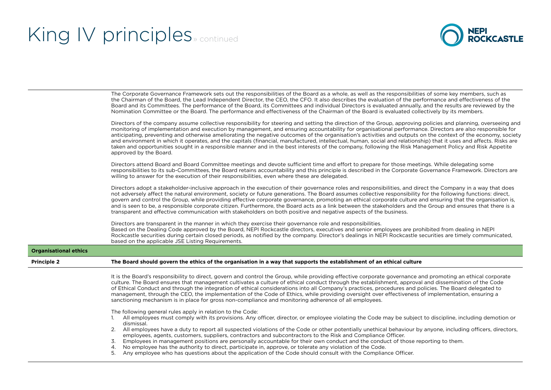**Organisation** 



|                              | The Corporate Governance Framework sets out the responsibilities of the Board as a whole, as well as the responsibilities of some key members, such as<br>the Chairman of the Board, the Lead Independent Director, the CEO, the CFO. It also describes the evaluation of the performance and effectiveness of the<br>Board and its Committees. The performance of the Board, its Committees and individual Directors is evaluated annually, and the results are reviewed by the<br>Nomination Committee or the Board. The performance and effectiveness of the Chairman of the Board is evaluated collectively by its members.                                                                                                                                                                                                                        |
|------------------------------|--------------------------------------------------------------------------------------------------------------------------------------------------------------------------------------------------------------------------------------------------------------------------------------------------------------------------------------------------------------------------------------------------------------------------------------------------------------------------------------------------------------------------------------------------------------------------------------------------------------------------------------------------------------------------------------------------------------------------------------------------------------------------------------------------------------------------------------------------------|
|                              | Directors of the company assume collective responsibility for steering and setting the direction of the Group, approving policies and planning, overseeing and<br>monitoring of implementation and execution by management, and ensuring accountability for organisational performance. Directors are also responsible for<br>anticipating, preventing and otherwise ameliorating the negative outcomes of the organisation's activities and outputs on the context of the economy, society<br>and environment in which it operates, and the capitals (financial, manufactured, intellectual, human, social and relationship) that it uses and affects. Risks are<br>taken and opportunities sought in a responsible manner and in the best interests of the company, following the Risk Management Policy and Risk Appetite<br>approved by the Board. |
|                              | Directors attend Board and Board Committee meetings and devote sufficient time and effort to prepare for those meetings. While delegating some<br>responsibilities to its sub-Committees, the Board retains accountability and this principle is described in the Corporate Governance Framework. Directors are<br>willing to answer for the execution of their responsibilities, even where these are delegated.                                                                                                                                                                                                                                                                                                                                                                                                                                      |
|                              | Directors adopt a stakeholder-inclusive approach in the execution of their governance roles and responsibilities, and direct the Company in a way that does<br>not adversely affect the natural environment, society or future generations. The Board assumes collective responsibility for the following functions: direct,<br>govern and control the Group, while providing effective corporate governance, promoting an ethical corporate culture and ensuring that the organisation is,<br>and is seen to be, a responsible corporate citizen. Furthermore, the Board acts as a link between the stakeholders and the Group and ensures that there is a<br>transparent and effective communication with stakeholders on both positive and negative aspects of the business.                                                                        |
|                              | Directors are transparent in the manner in which they exercise their governance role and responsibilities.<br>Based on the Dealing Code approved by the Board, NEPI Rockcastle directors, executives and senior employees are prohibited from dealing in NEPI<br>Rockcastle securities during certain closed periods, as notified by the company. Director's dealings in NEPI Rockcastle securities are timely communicated,<br>based on the applicable JSE Listing Requirements.                                                                                                                                                                                                                                                                                                                                                                      |
| <b>Organisational ethics</b> |                                                                                                                                                                                                                                                                                                                                                                                                                                                                                                                                                                                                                                                                                                                                                                                                                                                        |
| <b>Principle 2</b>           | The Board should govern the ethics of the organisation in a way that supports the establishment of an ethical culture                                                                                                                                                                                                                                                                                                                                                                                                                                                                                                                                                                                                                                                                                                                                  |
|                              | It is the Board's responsibility to direct, govern and control the Group, while providing effective corporate governance and promoting an ethical corporate<br>culture. The Board ensures that management cultivates a culture of ethical conduct through the establishment, approval and dissemination of the Code<br>of Ethical Conduct and through the integration of ethical considerations into all Company's practices, procedures and policies. The Board delegated to<br>management, through the CEO, the implementation of the Code of Ethics, while providing oversight over effectiveness of implementation, ensuring a<br>sanctioning mechanism is in place for gross non-compliance and monitoring adherence of all employees.                                                                                                            |
|                              | The following general rules apply in relation to the Code:<br>All employees must comply with its provisions. Any officer, director, or employee violating the Code may be subject to discipline, including demotion or<br>dismissal.                                                                                                                                                                                                                                                                                                                                                                                                                                                                                                                                                                                                                   |
|                              | All employees have a duty to report all suspected violations of the Code or other potentially unethical behaviour by anyone, including officers, directors,<br>2.<br>employees, agents, customers, suppliers, contractors and subcontractors to the Risk and Compliance Officer.<br>Employees in management positions are personally accountable for their own conduct and the conduct of those reporting to them.<br>3.<br>No employee has the authority to direct, participate in, approve, or tolerate any violation of the Code.<br>4.                                                                                                                                                                                                                                                                                                             |
|                              | Any employee who has questions about the application of the Code should consult with the Compliance Officer.<br>5.                                                                                                                                                                                                                                                                                                                                                                                                                                                                                                                                                                                                                                                                                                                                     |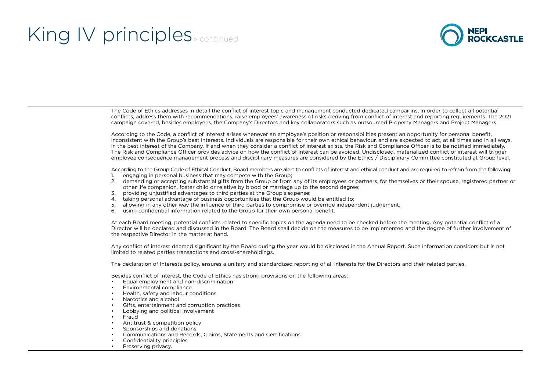

The Code of Ethics addresses in detail the conflict of interest topic and management conducted dedicated campaigns, in order to collect all potential conflicts, address them with recommendations, raise employees' awareness of risks deriving from conflict of interest and reporting requirements. The 2021 campaign covered, besides employees, the Company's Directors and key collaborators such as outsourced Property Managers and Project Managers.

According to the Code, a conflict of interest arises whenever an employee's position or responsibilities present an opportunity for personal benefit, inconsistent with the Group's best interests. Individuals are responsible for their own ethical behaviour, and are expected to act, at all times and in all ways, in the best interest of the Company. If and when they consider a conflict of interest exists, the Risk and Compliance Officer is to be notified immediately. The Risk and Compliance Officer provides advice on how the conflict of interest can be avoided. Undisclosed, materialized conflict of interest will trigger employee consequence management process and disciplinary measures are considered by the Ethics / Disciplinary Committee constituted at Group level.

According to the Group Code of Ethical Conduct. Board members are alert to conflicts of interest and ethical conduct and are required to refrain from the following:

- 1. engaging in personal business that may compete with the Group;
- 2. demanding or accepting substantial gifts from the Group or from any of its employees or partners, for themselves or their spouse, registered partner or other life companion, foster child or relative by blood or marriage up to the second degree;
- 3. providing unjustified advantages to third parties at the Group's expense;
- 4. taking personal advantage of business opportunities that the Group would be entitled to;
- 5. allowing in any other way the influence of third parties to compromise or override independent judgement;
- 6. using confidential information related to the Group for their own personal benefit.

At each Board meeting, potential conflicts related to specific topics on the agenda need to be checked before the meeting. Any potential conflict of a Director will be declared and discussed in the Board. The Board shall decide on the measures to be implemented and the degree of further involvement of the respective Director in the matter at hand.

Any conflict of interest deemed significant by the Board during the year would be disclosed in the Annual Report. Such information considers but is not limited to related parties transactions and cross-shareholdings.

The declaration of Interests policy, ensures a unitary and standardized reporting of all interests for the Directors and their related parties.

Besides conflict of interest, the Code of Ethics has strong provisions on the following areas:

- Equal employment and non-discrimination
- Environmental compliance
- Health, safety and labour conditions
- Narcotics and alcohol
- Gifts, entertainment and corruption practices
- Lobbying and political involvement
- Fraud
- Antitrust & competition policy
- Sponsorships and donations
- Communications and Records, Claims, Statements and Certifications
- Confidentiality principles
- Preserving privacy.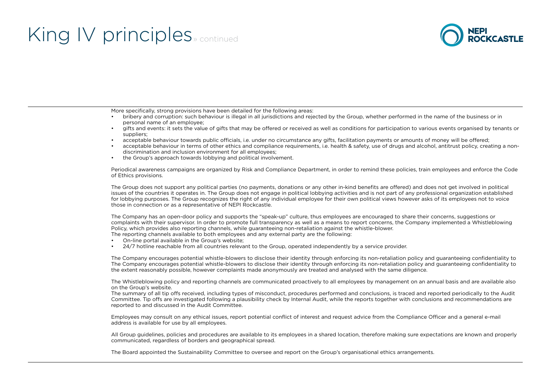

More specifically, strong provisions have been detailed for the following areas:

- bribery and corruption: such behaviour is illegal in all jurisdictions and rejected by the Group, whether performed in the name of the business or in personal name of an employee;
- gifts and events: it sets the value of gifts that may be offered or received as well as conditions for participation to various events organised by tenants or suppliers;
- acceptable behaviour towards public officials, i.e. under no circumstance any gifts, facilitation payments or amounts of money will be offered;
- acceptable behaviour in terms of other ethics and compliance requirements, i.e. health & safety, use of drugs and alcohol, antitrust policy, creating a nondiscrimination and inclusion environment for all employees;
- the Group's approach towards lobbying and political involvement.

Periodical awareness campaigns are organized by Risk and Compliance Department, in order to remind these policies, train employees and enforce the Code of Ethics provisions.

The Group does not support any political parties (no payments, donations or any other in-kind benefits are offered) and does not get involved in political issues of the countries it operates in. The Group does not engage in political lobbying activities and is not part of any professional organization established for lobbying purposes. The Group recognizes the right of any individual employee for their own political views however asks of its employees not to voice those in connection or as a representative of NEPI Rockcastle.

The Company has an open-door policy and supports the "speak-up" culture, thus employees are encouraged to share their concerns, suggestions or complaints with their supervisor. In order to promote full transparency as well as a means to report concerns, the Company implemented a Whistleblowing Policy, which provides also reporting channels, while guaranteeing non-retaliation against the whistle-blower.

- The reporting channels available to both employees and any external party are the following:
- On-line portal available in the Group's website;
- 24/7 hotline reachable from all countries relevant to the Group, operated independently by a service provider.

The Company encourages potential whistle-blowers to disclose their identity through enforcing its non-retaliation policy and guaranteeing confidentiality to The Company encourages potential whistle-blowers to disclose their identity through enforcing its non-retaliation policy and guaranteeing confidentiality to the extent reasonably possible, however complaints made anonymously are treated and analysed with the same diligence.

The Whistleblowing policy and reporting channels are communicated proactively to all employees by management on an annual basis and are available also on the Group's website.

The summary of all tip offs received, including types of misconduct, procedures performed and conclusions, is traced and reported periodically to the Audit Committee. Tip offs are investigated following a plausibility check by Internal Audit, while the reports together with conclusions and recommendations are reported to and discussed in the Audit Committee.

Employees may consult on any ethical issues, report potential conflict of interest and request advice from the Compliance Officer and a general e-mail address is available for use by all employees.

All Group guidelines, policies and procedures are available to its employees in a shared location, therefore making sure expectations are known and properly communicated, regardless of borders and geographical spread.

The Board appointed the Sustainability Committee to oversee and report on the Group's organisational ethics arrangements.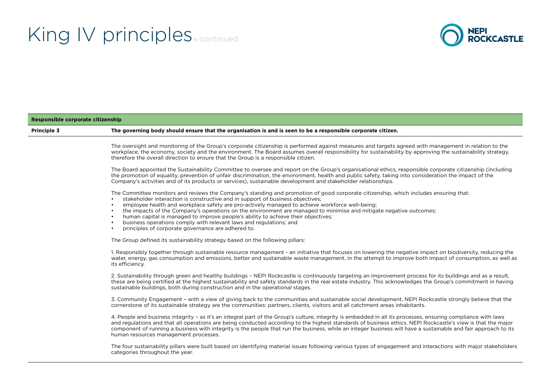

| Responsible corporate citizenship |                                                                                                                                                                                                                                                                                                                                                                                                                                                                                                                                                                                                                                                                 |
|-----------------------------------|-----------------------------------------------------------------------------------------------------------------------------------------------------------------------------------------------------------------------------------------------------------------------------------------------------------------------------------------------------------------------------------------------------------------------------------------------------------------------------------------------------------------------------------------------------------------------------------------------------------------------------------------------------------------|
| Principle 3                       | The governing body should ensure that the organisation is and is seen to be a responsible corporate citizen.                                                                                                                                                                                                                                                                                                                                                                                                                                                                                                                                                    |
|                                   | The oversight and monitoring of the Group's corporate citizenship is performed against measures and targets agreed with management in relation to the<br>workplace, the economy, society and the environment. The Board assumes overall responsibility for sustainability by approving the sustainability strategy,<br>therefore the overall direction to ensure that the Group is a responsible citizen.                                                                                                                                                                                                                                                       |
|                                   | The Board appointed the Sustainability Committee to oversee and report on the Group's organisational ethics, responsible corporate citizenship (including<br>the promotion of equality, prevention of unfair discrimination, the environment, health and public safety, taking into consideration the impact of the<br>Company's activities and of its products or services), sustainable development and stakeholder relationships.                                                                                                                                                                                                                            |
|                                   | The Committee monitors and reviews the Company's standing and promotion of good corporate citizenship, which includes ensuring that:<br>stakeholder interaction is constructive and in support of business objectives;<br>employee health and workplace safety are pro-actively managed to achieve workforce well-being;<br>the impacts of the Company's operations on the environment are managed to minimise and mitigate negative outcomes;<br>human capital is managed to improve people's ability to achieve their objectives;<br>business operations comply with relevant laws and regulations; and<br>principles of corporate governance are adhered to. |
|                                   | The Group defined its sustainability strategy based on the following pillars:                                                                                                                                                                                                                                                                                                                                                                                                                                                                                                                                                                                   |
|                                   | 1. Responsibly together through sustainable resource management - an initiative that focuses on lowering the negative impact on biodiversity, reducing the<br>water, energy, gas consumption and emissions, better and sustainable waste management, in the attempt to improve both impact of consumption, as well as<br>its efficiency.                                                                                                                                                                                                                                                                                                                        |
|                                   | 2. Sustainability through green and healthy buildings - NEPI Rockcastle is continuously targeting an improvement process for its buildings and as a result,<br>these are being certified at the highest sustainability and safety standards in the real estate industry. This acknowledges the Group's commitment in having<br>sustainable buildings, both during construction and in the operational stages.                                                                                                                                                                                                                                                   |
|                                   | 3. Community Engagement - with a view of giving back to the communities and sustainable social development, NEPI Rockcastle strongly believe that the<br>cornerstone of its sustainable strategy are the communities: partners, clients, visitors and all catchment areas inhabitants.                                                                                                                                                                                                                                                                                                                                                                          |
|                                   | 4. People and business integrity - as it's an integral part of the Group's culture, integrity is embedded in all its processes, ensuring compliance with laws<br>and regulations and that all operations are being conducted according to the highest standards of business ethics. NEPI Rockcastle's view is that the major<br>component of running a business with integrity is the people that run the business, while an integer business will have a sustainable and fair approach to its<br>human resources management processes.                                                                                                                         |
|                                   | The four sustainability pillars were built based on identifying material issues following various types of engagement and interactions with major stakeholders<br>categories throughout the year.                                                                                                                                                                                                                                                                                                                                                                                                                                                               |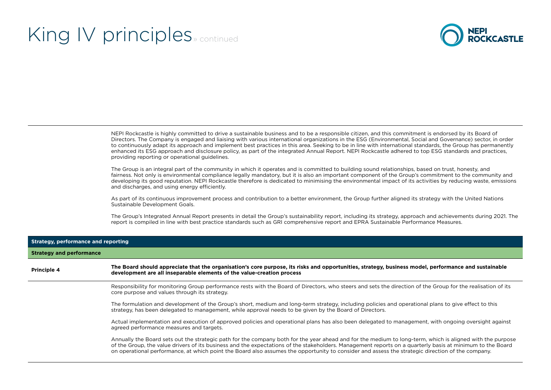

NEPI Rockcastle is highly committed to drive a sustainable business and to be a responsible citizen, and this commitment is endorsed by its Board of Directors. The Company is engaged and liaising with various international organizations in the ESG (Environmental, Social and Governance) sector, in order to continuously adapt its approach and implement best practices in this area. Seeking to be in line with international standards, the Group has permanently enhanced its ESG approach and disclosure policy, as part of the integrated Annual Report. NEPI Rockcastle adhered to top ESG standards and practices, providing reporting or operational guidelines.

The Group is an integral part of the community in which it operates and is committed to building sound relationships, based on trust, honesty, and fairness. Not only is environmental compliance legally mandatory, but it is also an important component of the Group's commitment to the community and developing its good reputation. NEPI Rockcastle therefore is dedicated to minimising the environmental impact of its activities by reducing waste, emissions and discharges, and using energy efficiently.

As part of its continuous improvement process and contribution to a better environment, the Group further aligned its strategy with the United Nations Sustainable Development Goals.

The Group's Integrated Annual Report presents in detail the Group's sustainability report, including its strategy, approach and achievements during 2021. The report is compiled in line with best practice standards such as GRI comprehensive report and EPRA Sustainable Performance Measures.

| Strategy, performance and reporting<br><b>Strategy and performance</b> |                                                                                                                                                                                                                                                                                                                                                                                                                                                                            |
|------------------------------------------------------------------------|----------------------------------------------------------------------------------------------------------------------------------------------------------------------------------------------------------------------------------------------------------------------------------------------------------------------------------------------------------------------------------------------------------------------------------------------------------------------------|
|                                                                        |                                                                                                                                                                                                                                                                                                                                                                                                                                                                            |
|                                                                        | Responsibility for monitoring Group performance rests with the Board of Directors, who steers and sets the direction of the Group for the realisation of its<br>core purpose and values through its strategy.                                                                                                                                                                                                                                                              |
|                                                                        | The formulation and development of the Group's short, medium and long-term strategy, including policies and operational plans to give effect to this<br>strategy, has been delegated to management, while approval needs to be given by the Board of Directors.                                                                                                                                                                                                            |
|                                                                        | Actual implementation and execution of approved policies and operational plans has also been delegated to management, with ongoing oversight against<br>agreed performance measures and targets.                                                                                                                                                                                                                                                                           |
|                                                                        | Annually the Board sets out the strategic path for the company both for the year ahead and for the medium to long-term, which is aligned with the purpose<br>of the Group, the value drivers of its business and the expectations of the stakeholders. Management reports on a quarterly basis at minimum to the Board<br>on operational performance, at which point the Board also assumes the opportunity to consider and assess the strategic direction of the company. |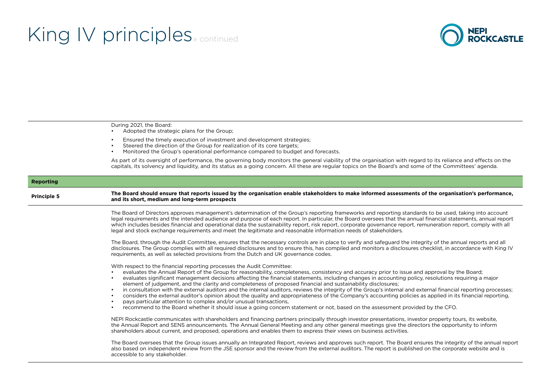

During 2021, the Board:

- Adopted the strategic plans for the Group;
- Ensured the timely execution of investment and development strategies;
- Steered the direction of the Group for realization of its core targets;
- Monitored the Group's operational performance compared to budget and forecasts.

As part of its oversight of performance, the governing body monitors the general viability of the organisation with regard to its reliance and effects on the capitals, its solvency and liquidity, and its status as a going concern. All these are regular topics on the Board's and some of the Committees' agenda.

#### **Reporting**

**Principle 5 The Board should ensure that reports issued by the organisation enable stakeholders to make informed assessments of the organisation's performance, <br>
and its short, medium and lang term prespects. and its short, medium and long-term prospects**

> The Board of Directors approves management's determination of the Group's reporting frameworks and reporting standards to be used, taking into account legal requirements and the intended audience and purpose of each report. In particular, the Board oversees that the annual financial statements, annual report which includes besides financial and operational data the sustainability report, risk report, corporate governance report, remuneration report, comply with all legal and stock exchange requirements and meet the legitimate and reasonable information needs of stakeholders.

> The Board, through the Audit Committee, ensures that the necessary controls are in place to verify and safeguard the integrity of the annual reports and all disclosures. The Group complies with all required disclosures and to ensure this, has compiled and monitors a disclosures checklist, in accordance with King IV requirements, as well as selected provisions from the Dutch and UK governance codes.

With respect to the financial reporting processes the Audit Committee:

- evaluates the Annual Report of the Group for reasonability, completeness, consistency and accuracy prior to issue and approval by the Board;
- evaluates significant management decisions affecting the financial statements, including changes in accounting policy, resolutions requiring a major element of judgement, and the clarity and completeness of proposed financial and sustainability disclosures;
- in consultation with the external auditors and the internal auditors, reviews the integrity of the Group's internal and external financial reporting processes;
- considers the external auditor's opinion about the quality and appropriateness of the Company's accounting policies as applied in its financial reporting,
- pays particular attention to complex and/or unusual transactions,
- recommend to the Board whether it should issue a going concern statement or not, based on the assessment provided by the CFO.

NEPI Rockcastle communicates with shareholders and financing partners principally through investor presentations, investor property tours, its website, the Annual Report and SENS announcements. The Annual General Meeting and any other general meetings give the directors the opportunity to inform shareholders about current, and proposed, operations and enables them to express their views on business activities.

The Board oversees that the Group issues annually an Integrated Report, reviews and approves such report. The Board ensures the integrity of the annual report also based on independent review from the JSE sponsor and the review from the external auditors. The report is published on the corporate website and is accessible to any stakeholder.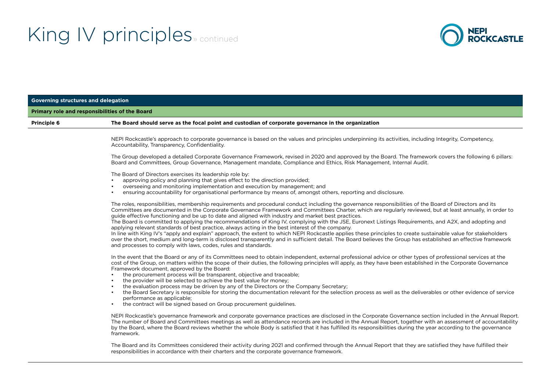

| <b>Governing structures and delegation</b> |                                                                                                                                                                                                                                                                                                                                                                                                                                                                                                                                                                                                                                                                                                                                                                                                                                                                                                                                                                                                                                                                                            |
|--------------------------------------------|--------------------------------------------------------------------------------------------------------------------------------------------------------------------------------------------------------------------------------------------------------------------------------------------------------------------------------------------------------------------------------------------------------------------------------------------------------------------------------------------------------------------------------------------------------------------------------------------------------------------------------------------------------------------------------------------------------------------------------------------------------------------------------------------------------------------------------------------------------------------------------------------------------------------------------------------------------------------------------------------------------------------------------------------------------------------------------------------|
|                                            | Primary role and responsibilities of the Board                                                                                                                                                                                                                                                                                                                                                                                                                                                                                                                                                                                                                                                                                                                                                                                                                                                                                                                                                                                                                                             |
| Principle 6                                | The Board should serve as the focal point and custodian of corporate governance in the organization                                                                                                                                                                                                                                                                                                                                                                                                                                                                                                                                                                                                                                                                                                                                                                                                                                                                                                                                                                                        |
|                                            | NEPI Rockcastle's approach to corporate governance is based on the values and principles underpinning its activities, including Integrity, Competency,<br>Accountability, Transparency, Confidentiality.                                                                                                                                                                                                                                                                                                                                                                                                                                                                                                                                                                                                                                                                                                                                                                                                                                                                                   |
|                                            | The Group developed a detailed Corporate Governance Framework, revised in 2020 and approved by the Board. The framework covers the following 6 pillars:<br>Board and Committees, Group Governance, Management mandate, Compliance and Ethics, Risk Management, Internal Audit.                                                                                                                                                                                                                                                                                                                                                                                                                                                                                                                                                                                                                                                                                                                                                                                                             |
|                                            | The Board of Directors exercises its leadership role by:<br>approving policy and planning that gives effect to the direction provided;<br>overseeing and monitoring implementation and execution by management; and<br>ensuring accountability for organisational performance by means of, amongst others, reporting and disclosure.<br>$\bullet$                                                                                                                                                                                                                                                                                                                                                                                                                                                                                                                                                                                                                                                                                                                                          |
|                                            | The roles, responsibilities, membership requirements and procedural conduct including the governance responsibilities of the Board of Directors and its<br>Committees are documented in the Corporate Governance Framework and Committees Charter, which are regularly reviewed, but at least annually, in order to<br>guide effective functioning and be up to date and aligned with industry and market best practices.<br>The Board is committed to applying the recommendations of King IV, complying with the JSE, Euronext Listings Requirements, and A2X, and adopting and<br>applying relevant standards of best practice, always acting in the best interest of the company.<br>In line with King IV's "apply and explain" approach, the extent to which NEPI Rockcastle applies these principles to create sustainable value for stakeholders<br>over the short, medium and long-term is disclosed transparently and in sufficient detail. The Board believes the Group has established an effective framework<br>and processes to comply with laws, codes, rules and standards. |
|                                            | In the event that the Board or any of its Committees need to obtain independent, external professional advice or other types of professional services at the<br>cost of the Group, on matters within the scope of their duties, the following principles will apply, as they have been established in the Corporate Governance<br>Framework document, approved by the Board:<br>the procurement process will be transparent, objective and traceable;<br>$\bullet$<br>the provider will be selected to achieve the best value for money;<br>the evaluation process may be driven by any of the Directors or the Company Secretary;<br>the Board Secretary is responsible for storing the documentation relevant for the selection process as well as the deliverables or other evidence of service<br>$\bullet$<br>performance as applicable;<br>the contract will be signed based on Group procurement guidelines.                                                                                                                                                                        |
|                                            | NEPI Rockcastle's governance framework and corporate governance practices are disclosed in the Corporate Governance section included in the Annual Report.<br>The number of Board and Committees meetings as well as attendance records are included in the Annual Report, together with an assessment of accountability<br>by the Board, where the Board reviews whether the whole Body is satisfied that it has fulfilled its responsibilities during the year according to the governance<br>framework.                                                                                                                                                                                                                                                                                                                                                                                                                                                                                                                                                                                 |
|                                            | The Board and its Committees considered their activity during 2021 and confirmed through the Annual Report that they are satisfied they have fulfilled their<br>responsibilities in accordance with their charters and the corporate governance framework.                                                                                                                                                                                                                                                                                                                                                                                                                                                                                                                                                                                                                                                                                                                                                                                                                                 |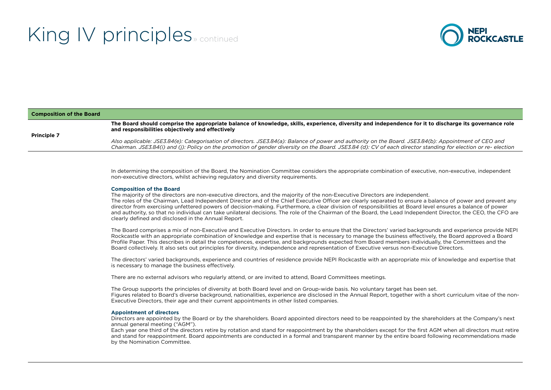

#### **Composition of the Board Principle 7 The Board should comprise the appropriate balance of knowledge, skills, experience, diversity and independence for it to discharge its governance role and responsibilities objectively and effectively** *Also applicable: JSE3.84(e): Categorisation of directors. JSE3.84(a): Balance of power and authority on the Board. JSE3.84(b): Appointment of CEO and Chairman. JSE3.84(i) and (j): Policy on the promotion of gender diversity on the Board. JSE3.84 (d): CV of each director standing for election or re- election*

In determining the composition of the Board, the Nomination Committee considers the appropriate combination of executive, non-executive, independent non-executive directors, whilst achieving regulatory and diversity requirements.

#### **Composition of the Board**

The majority of the directors are non-executive directors, and the majority of the non-Executive Directors are independent. The roles of the Chairman, Lead Independent Director and of the Chief Executive Officer are clearly separated to ensure a balance of power and prevent any director from exercising unfettered powers of decision-making. Furthermore, a clear division of responsibilities at Board level ensures a balance of power and authority, so that no individual can take unilateral decisions. The role of the Chairman of the Board, the Lead Independent Director, the CEO, the CFO are clearly defined and disclosed in the Annual Report.

The Board comprises a mix of non-Executive and Executive Directors. In order to ensure that the Directors' varied backgrounds and experience provide NEPI Rockcastle with an appropriate combination of knowledge and expertise that is necessary to manage the business effectively, the Board approved a Board Profile Paper. This describes in detail the competences, expertise, and backgrounds expected from Board members individually, the Committees and the Board collectively. It also sets out principles for diversity, independence and representation of Executive versus non-Executive Directors.

The directors' varied backgrounds, experience and countries of residence provide NEPI Rockcastle with an appropriate mix of knowledge and expertise that is necessary to manage the business effectively.

There are no external advisors who regularly attend, or are invited to attend, Board Committees meetings.

The Group supports the principles of diversity at both Board level and on Group-wide basis. No voluntary target has been set. Figures related to Board's diverse background, nationalities, experience are disclosed in the Annual Report, together with a short curriculum vitae of the non-Executive Directors, their age and their current appointments in other listed companies.

#### **Appointment of directors**

Directors are appointed by the Board or by the shareholders. Board appointed directors need to be reappointed by the shareholders at the Company's next annual general meeting ("AGM").

Each year one third of the directors retire by rotation and stand for reappointment by the shareholders except for the first AGM when all directors must retire and stand for reappointment. Board appointments are conducted in a formal and transparent manner by the entire board following recommendations made by the Nomination Committee.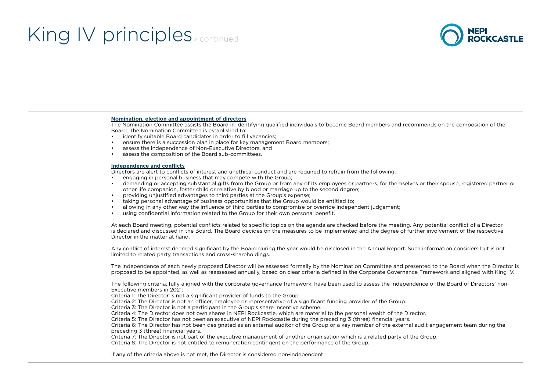

#### **Nomination, election and appointment of directors**

The Nomination Committee assists the Board in identifying qualified individuals to become Board members and recommends on the composition of the Board. The Nomination Committee is established to:

- identify suitable Board candidates in order to fill vacancies;
- ensure there is a succession plan in place for key management Board members;
- assess the independence of Non-Executive Directors, and
- assess the composition of the Board sub-committees.

#### **Independence and conflicts**

Directors are alert to conflicts of interest and unethical conduct and are required to refrain from the following:

- engaging in personal business that may compete with the Group:
- demanding or accepting substantial gifts from the Group or from any of its employees or partners, for themselves or their spouse, registered partner or other life companion, foster child or relative by blood or marriage up to the second degree;
- providing unjustified advantages to third parties at the Group's expense;
- taking personal advantage of business opportunities that the Group would be entitled to;
- allowing in any other way the influence of third parties to compromise or override independent judgement;
- using confidential information related to the Group for their own personal benefit.

At each Board meeting, potential conflicts related to specific topics on the agenda are checked before the meeting. Any potential conflict of a Director is declared and discussed in the Board. The Board decides on the measures to be implemented and the degree of further involvement of the respective Director in the matter at hand.

Any conflict of interest deemed significant by the Board during the year would be disclosed in the Annual Report. Such information considers but is not limited to related party transactions and cross-shareholdings.

The independence of each newly proposed Director will be assessed formally by the Nomination Committee and presented to the Board when the Director is proposed to be appointed, as well as reassessed annually, based on clear criteria defined in the Corporate Governance Framework and aligned with King IV.

The following criteria, fully aligned with the corporate governance framework, have been used to assess the independence of the Board of Directors' non-Executive members in 2021:

Criteria 1: The Director is not a significant provider of funds to the Group

Criteria 2: The Director is not an officer, employee or representative of a significant funding provider of the Group.

Criteria 3: The Director is not a participant in the Group's share incentive scheme.

Criteria 4: The Director does not own shares in NEPI Rockcastle, which are material to the personal wealth of the Director.

Criteria 5: The Director has not been an executive of NEPI Rockcastle during the preceding 3 (three) financial years.

Criteria 6: The Director has not been designated as an external auditor of the Group or a key member of the external audit engagement team during the preceding 3 (three) financial years.

Criteria 7: The Director is not part of the executive management of another organisation which is a related party of the Group.

Criteria 8: The Director is not entitled to remuneration contingent on the performance of the Group.

If any of the criteria above is not met, the Director is considered non-independent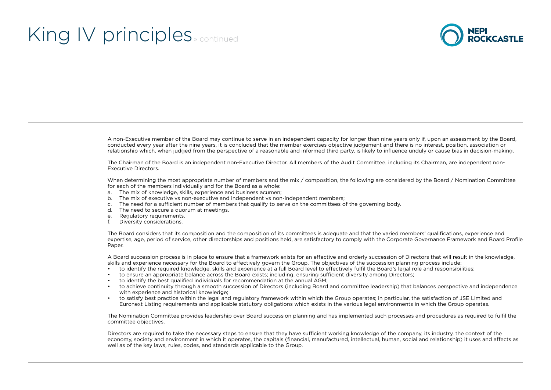

A non-Executive member of the Board may continue to serve in an independent capacity for longer than nine years only if, upon an assessment by the Board, conducted every year after the nine years, it is concluded that the member exercises objective judgement and there is no interest, position, association or relationship which, when judged from the perspective of a reasonable and informed third party, is likely to influence unduly or cause bias in decision-making.

The Chairman of the Board is an independent non-Executive Director. All members of the Audit Committee, including its Chairman, are independent non-Executive Directors.

When determining the most appropriate number of members and the mix / composition, the following are considered by the Board / Nomination Committee for each of the members individually and for the Board as a whole:

- a. The mix of knowledge, skills, experience and business acumen;
- b. The mix of executive vs non-executive and independent vs non-independent members;
- c. The need for a sufficient number of members that qualify to serve on the committees of the governing body.
- d. The need to secure a quorum at meetings.
- e. Regulatory requirements.
- f. Diversity considerations.

The Board considers that its composition and the composition of its committees is adequate and that the varied members' qualifications, experience and expertise, age, period of service, other directorships and positions held, are satisfactory to comply with the Corporate Governance Framework and Board Profile Paper.

A Board succession process is in place to ensure that a framework exists for an effective and orderly succession of Directors that will result in the knowledge, skills and experience necessary for the Board to effectively govern the Group. The objectives of the succession planning process include:

- to identify the required knowledge, skills and experience at a full Board level to effectively fulfil the Board's legal role and responsibilities;
- to ensure an appropriate balance across the Board exists; including, ensuring sufficient diversity among Directors;
- to identify the best qualified individuals for recommendation at the annual AGM;
- to achieve continuity through a smooth succession of Directors (including Board and committee leadership) that balances perspective and independence with experience and historical knowledge;
- to satisfy best practice within the legal and regulatory framework within which the Group operates; in particular, the satisfaction of JSE Limited and Euronext Listing requirements and applicable statutory obligations which exists in the various legal environments in which the Group operates.

The Nomination Committee provides leadership over Board succession planning and has implemented such processes and procedures as required to fulfil the committee objectives.

Directors are required to take the necessary steps to ensure that they have sufficient working knowledge of the company, its industry, the context of the economy, society and environment in which it operates, the capitals (financial, manufactured, intellectual, human, social and relationship) it uses and affects as well as of the key laws, rules, codes, and standards applicable to the Group.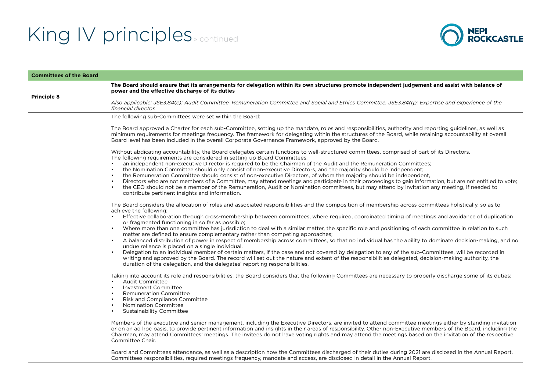### King IV principles<sub>» continued</sub>



| <b>Committees of the Board</b> |                                                                                                                                                                                                                                                                                                                                                                                                                                                                                                                                                                                                                                                                                                                          |
|--------------------------------|--------------------------------------------------------------------------------------------------------------------------------------------------------------------------------------------------------------------------------------------------------------------------------------------------------------------------------------------------------------------------------------------------------------------------------------------------------------------------------------------------------------------------------------------------------------------------------------------------------------------------------------------------------------------------------------------------------------------------|
|                                | The Board should ensure that its arrangements for delegation within its own structures promote independent judgement and assist with balance of<br>power and the effective discharge of its duties                                                                                                                                                                                                                                                                                                                                                                                                                                                                                                                       |
| <b>Principle 8</b>             | Also applicable: JSE3.84(c): Audit Committee, Remuneration Committee and Social and Ethics Committee. JSE3.84(g): Expertise and experience of the<br>financial director.                                                                                                                                                                                                                                                                                                                                                                                                                                                                                                                                                 |
|                                | The following sub-Committees were set within the Board:                                                                                                                                                                                                                                                                                                                                                                                                                                                                                                                                                                                                                                                                  |
|                                | The Board approved a Charter for each sub-Committee, setting up the mandate, roles and responsibilities, authority and reporting guidelines, as well as<br>minimum requirements for meetings frequency. The framework for delegating within the structures of the Board, while retaining accountability at overall<br>Board level has been included in the overall Corporate Governance Framework, approved by the Board.                                                                                                                                                                                                                                                                                                |
|                                | Without abdicating accountability, the Board delegates certain functions to well-structured committees, comprised of part of its Directors.<br>The following requirements are considered in setting up Board Committees:                                                                                                                                                                                                                                                                                                                                                                                                                                                                                                 |
|                                | an independent non-executive Director is required to be the Chairman of the Audit and the Remuneration Committees;<br>the Nomination Committee should only consist of non-executive Directors, and the majority should be independent;<br>the Remuneration Committee should consist of non-executive Directors, of whom the majority should be independent,<br>Directors who are not members of a Committee, may attend meetings and participate in their proceedings to gain information, but are not entitled to vote;<br>the CEO should not be a member of the Remuneration, Audit or Nomination committees, but may attend by invitation any meeting, if needed to<br>contribute pertinent insights and information. |
|                                | The Board considers the allocation of roles and associated responsibilities and the composition of membership across committees holistically, so as to<br>achieve the following:<br>Effective collaboration through cross-membership between committees, where required, coordinated timing of meetings and avoidance of duplication                                                                                                                                                                                                                                                                                                                                                                                     |
|                                | or fragmented functioning in so far as possible;<br>Where more than one committee has jurisdiction to deal with a similar matter, the specific role and positioning of each committee in relation to such<br>matter are defined to ensure complementary rather than competing approaches;                                                                                                                                                                                                                                                                                                                                                                                                                                |
|                                | A balanced distribution of power in respect of membership across committees, so that no individual has the ability to dominate decision-making, and no<br>undue reliance is placed on a single individual.                                                                                                                                                                                                                                                                                                                                                                                                                                                                                                               |
|                                | Delegation to an individual member of certain matters, if the case and not covered by delegation to any of the sub-Committees, will be recorded in<br>$\bullet$<br>writing and approved by the Board. The record will set out the nature and extent of the responsibilities delegated, decision-making authority, the<br>duration of the delegation, and the delegates' reporting responsibilities.                                                                                                                                                                                                                                                                                                                      |
|                                | Taking into account its role and responsibilities, the Board considers that the following Committees are necessary to properly discharge some of its duties:<br><b>Audit Committee</b><br>Investment Committee<br><b>Remuneration Committee</b><br><b>Risk and Compliance Committee</b><br>Nomination Committee<br>$\bullet$<br><b>Sustainability Committee</b>                                                                                                                                                                                                                                                                                                                                                          |
|                                | Members of the executive and senior management, including the Executive Directors, are invited to attend committee meetings either by standing invitation<br>or on an ad hoc basis, to provide pertinent information and insights in their areas of responsibility. Other non-Executive members of the Board, including the<br>Chairman, may attend Committees' meetings. The invitees do not have voting rights and may attend the meetings based on the invitation of the respective<br>Committee Chair.                                                                                                                                                                                                               |
|                                | Board and Committees attendance, as well as a description how the Committees discharged of their duties during 2021 are disclosed in the Annual Report.<br>Committees responsibilities, required meetings frequency, mandate and access, are disclosed in detail in the Annual Report.                                                                                                                                                                                                                                                                                                                                                                                                                                   |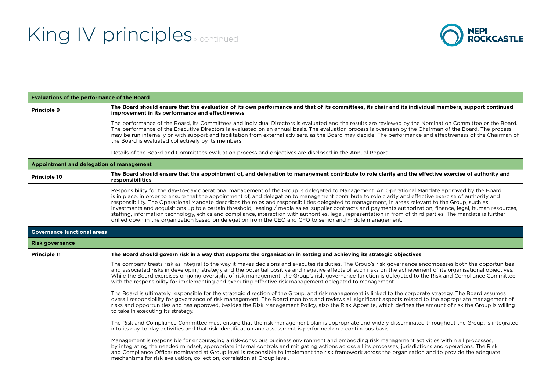

| <b>Evaluations of the performance of the Board</b> |                                                                                                                                                                                                                                                                                                                                                                                                                                                                                                                                                                                                                                                                                                                                                                                                                                                                                                                   |
|----------------------------------------------------|-------------------------------------------------------------------------------------------------------------------------------------------------------------------------------------------------------------------------------------------------------------------------------------------------------------------------------------------------------------------------------------------------------------------------------------------------------------------------------------------------------------------------------------------------------------------------------------------------------------------------------------------------------------------------------------------------------------------------------------------------------------------------------------------------------------------------------------------------------------------------------------------------------------------|
| Principle 9                                        | The Board should ensure that the evaluation of its own performance and that of its committees, its chair and its individual members, support continued<br>improvement in its performance and effectiveness                                                                                                                                                                                                                                                                                                                                                                                                                                                                                                                                                                                                                                                                                                        |
|                                                    | The performance of the Board, its Committees and individual Directors is evaluated and the results are reviewed by the Nomination Committee or the Board.<br>The performance of the Executive Directors is evaluated on an annual basis. The evaluation process is overseen by the Chairman of the Board. The process<br>may be run internally or with support and facilitation from external advisers, as the Board may decide. The performance and effectiveness of the Chairman of<br>the Board is evaluated collectively by its members.                                                                                                                                                                                                                                                                                                                                                                      |
|                                                    | Details of the Board and Committees evaluation process and objectives are disclosed in the Annual Report.                                                                                                                                                                                                                                                                                                                                                                                                                                                                                                                                                                                                                                                                                                                                                                                                         |
| Appointment and delegation of management           |                                                                                                                                                                                                                                                                                                                                                                                                                                                                                                                                                                                                                                                                                                                                                                                                                                                                                                                   |
| Principle 10                                       | The Board should ensure that the appointment of, and delegation to management contribute to role clarity and the effective exercise of authority and<br>responsibilities                                                                                                                                                                                                                                                                                                                                                                                                                                                                                                                                                                                                                                                                                                                                          |
|                                                    | Responsibility for the day-to-day operational management of the Group is delegated to Management. An Operational Mandate approved by the Board<br>is in place, in order to ensure that the appointment of, and delegation to management contribute to role clarity and effective exercise of authority and<br>responsibility. The Operational Mandate describes the roles and responsibilities delegated to management, in areas relevant to the Group, such as:<br>investments and acquisitions up to a certain threshold, leasing / media sales, supplier contracts and payments authorization, finance, legal, human resources,<br>staffing, information technology, ethics and compliance, interaction with authorities, legal, representation in from of third parties. The mandate is further<br>drilled down in the organization based on delegation from the CEO and CFO to senior and middle management. |
| <b>Governance functional areas</b>                 |                                                                                                                                                                                                                                                                                                                                                                                                                                                                                                                                                                                                                                                                                                                                                                                                                                                                                                                   |
| <b>Risk governance</b>                             |                                                                                                                                                                                                                                                                                                                                                                                                                                                                                                                                                                                                                                                                                                                                                                                                                                                                                                                   |
| <b>Principle 11</b>                                | The Board should govern risk in a way that supports the organisation in setting and achieving its strategic objectives                                                                                                                                                                                                                                                                                                                                                                                                                                                                                                                                                                                                                                                                                                                                                                                            |
|                                                    | The company treats risk as integral to the way it makes decisions and executes its duties. The Group's risk governance encompasses both the opportunities<br>and associated risks in developing strategy and the potential positive and negative effects of such risks on the achievement of its organisational objectives.<br>While the Board exercises ongoing oversight of risk management, the Group's risk governance function is delegated to the Risk and Compliance Committee,<br>with the responsibility for implementing and executing effective risk management delegated to management.                                                                                                                                                                                                                                                                                                               |
|                                                    | The Board is ultimately responsible for the strategic direction of the Group, and risk management is linked to the corporate strategy. The Board assumes<br>overall responsibility for governance of risk management. The Board monitors and reviews all significant aspects related to the appropriate management of<br>risks and opportunities and has approved, besides the Risk Management Policy, also the Risk Appetite, which defines the amount of risk the Group is willing<br>to take in executing its strategy.                                                                                                                                                                                                                                                                                                                                                                                        |
|                                                    | The Risk and Compliance Committee must ensure that the risk management plan is appropriate and widely disseminated throughout the Group, is integrated<br>into its day-to-day activities and that risk identification and assessment is performed on a continuous basis.                                                                                                                                                                                                                                                                                                                                                                                                                                                                                                                                                                                                                                          |
|                                                    | Management is responsible for encouraging a risk-conscious business environment and embedding risk management activities within all processes,<br>by integrating the needed mindset, appropriate internal controls and mitigating actions across all its processes, jurisdictions and operations. The Risk<br>and Compliance Officer nominated at Group level is responsible to implement the risk framework across the organisation and to provide the adequate<br>mechanisms for risk evaluation, collection, correlation at Group level.                                                                                                                                                                                                                                                                                                                                                                       |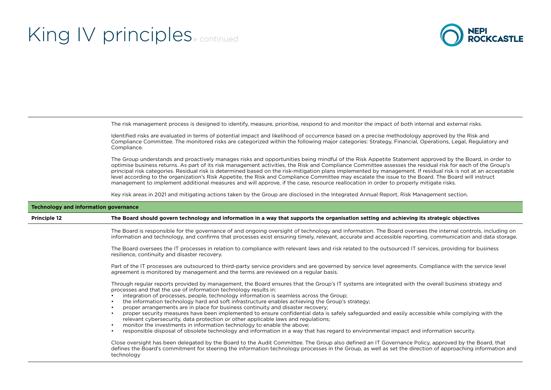

The risk management process is designed to identify, measure, prioritise, respond to and monitor the impact of both internal and external risks.

Identified risks are evaluated in terms of potential impact and likelihood of occurrence based on a precise methodology approved by the Risk and Compliance Committee. The monitored risks are categorized within the following major categories: Strategy, Financial, Operations, Legal, Regulatory and Compliance.

The Group understands and proactively manages risks and opportunities being mindful of the Risk Appetite Statement approved by the Board, in order to optimise business returns. As part of its risk management activities, the Risk and Compliance Committee assesses the residual risk for each of the Group's principal risk categories. Residual risk is determined based on the risk-mitigation plans implemented by management. If residual risk is not at an acceptable level according to the organization's Risk Appetite, the Risk and Compliance Committee may escalate the issue to the Board. The Board will instruct management to implement additional measures and will approve, if the case, resource reallocation in order to properly mitigate risks.

Key risk areas in 2021 and mitigating actions taken by the Group are disclosed in the Integrated Annual Report, Risk Management section.

| <b>Technology and information governance</b> |                                                                                                                                                                                                                                                                                                                                                                                                                                                                                                                                                                                                                                                                                                                                                                                                                                                                                                                                                                     |
|----------------------------------------------|---------------------------------------------------------------------------------------------------------------------------------------------------------------------------------------------------------------------------------------------------------------------------------------------------------------------------------------------------------------------------------------------------------------------------------------------------------------------------------------------------------------------------------------------------------------------------------------------------------------------------------------------------------------------------------------------------------------------------------------------------------------------------------------------------------------------------------------------------------------------------------------------------------------------------------------------------------------------|
| <b>Principle 12</b>                          | The Board should govern technology and information in a way that supports the organisation setting and achieving its strategic objectives                                                                                                                                                                                                                                                                                                                                                                                                                                                                                                                                                                                                                                                                                                                                                                                                                           |
|                                              | The Board is responsible for the governance of and ongoing oversight of technology and information. The Board oversees the internal controls, including on<br>information and technology, and confirms that processes exist ensuring timely, relevant, accurate and accessible reporting, communication and data storage.                                                                                                                                                                                                                                                                                                                                                                                                                                                                                                                                                                                                                                           |
|                                              | The Board oversees the IT processes in relation to compliance with relevant laws and risk related to the outsourced IT services, providing for business<br>resilience, continuity and disaster recovery.                                                                                                                                                                                                                                                                                                                                                                                                                                                                                                                                                                                                                                                                                                                                                            |
|                                              | Part of the IT processes are outsourced to third-party service providers and are governed by service level agreements. Compliance with the service level<br>agreement is monitored by management and the terms are reviewed on a regular basis.                                                                                                                                                                                                                                                                                                                                                                                                                                                                                                                                                                                                                                                                                                                     |
|                                              | Through regular reports provided by management, the Board ensures that the Group's IT systems are integrated with the overall business strategy and<br>processes and that the use of information technology results in:<br>integration of processes, people, technology information is seamless across the Group;<br>the information technology hard and soft infrastructure enables achieving the Group's strategy;<br>proper arrangements are in place for business continuity and disaster recovery;<br>proper security measures have been implemented to ensure confidential data is safely safeguarded and easily accessible while complying with the<br>relevant cybersecurity, data protection or other applicable laws and regulations;<br>monitor the investments in information technology to enable the above;<br>responsible disposal of obsolete technology and information in a way that has regard to environmental impact and information security. |
|                                              | Close oversight has been delegated by the Board to the Audit Committee. The Group also defined an IT Governance Policy, approved by the Board, that<br>defines the Board's commitment for steering the information technology processes in the Group, as well as set the direction of approaching information and<br>technology                                                                                                                                                                                                                                                                                                                                                                                                                                                                                                                                                                                                                                     |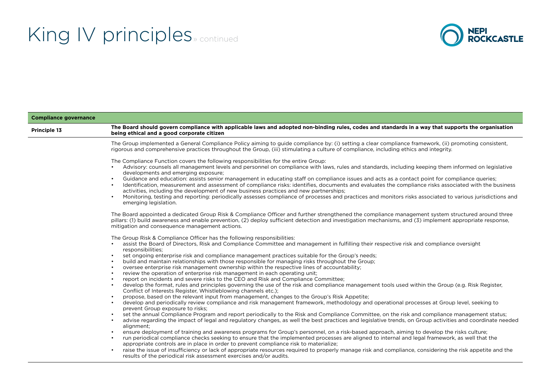

| <b>Compliance governance</b> |                                                                                                                                                                                                                                                                                                                                                                                                                                                                                                                                                                                                                                                                                                                                                                                                                                                                                                                                                                                                                                                                                                                                                                                                                                                                                                                                                                                                                                                                                                                                                                                                                                                                                                                                                                                                                                                                                                                                                                                                                   |
|------------------------------|-------------------------------------------------------------------------------------------------------------------------------------------------------------------------------------------------------------------------------------------------------------------------------------------------------------------------------------------------------------------------------------------------------------------------------------------------------------------------------------------------------------------------------------------------------------------------------------------------------------------------------------------------------------------------------------------------------------------------------------------------------------------------------------------------------------------------------------------------------------------------------------------------------------------------------------------------------------------------------------------------------------------------------------------------------------------------------------------------------------------------------------------------------------------------------------------------------------------------------------------------------------------------------------------------------------------------------------------------------------------------------------------------------------------------------------------------------------------------------------------------------------------------------------------------------------------------------------------------------------------------------------------------------------------------------------------------------------------------------------------------------------------------------------------------------------------------------------------------------------------------------------------------------------------------------------------------------------------------------------------------------------------|
| Principle 13                 | The Board should govern compliance with applicable laws and adopted non-binding rules, codes and standards in a way that supports the organisation<br>being ethical and a good corporate citizen                                                                                                                                                                                                                                                                                                                                                                                                                                                                                                                                                                                                                                                                                                                                                                                                                                                                                                                                                                                                                                                                                                                                                                                                                                                                                                                                                                                                                                                                                                                                                                                                                                                                                                                                                                                                                  |
|                              | The Group implemented a General Compliance Policy aiming to guide compliance by: (i) setting a clear compliance framework, (ii) promoting consistent,<br>rigorous and comprehensive practices throughout the Group, (iii) stimulating a culture of compliance, including ethics and integrity.                                                                                                                                                                                                                                                                                                                                                                                                                                                                                                                                                                                                                                                                                                                                                                                                                                                                                                                                                                                                                                                                                                                                                                                                                                                                                                                                                                                                                                                                                                                                                                                                                                                                                                                    |
|                              | The Compliance Function covers the following responsibilities for the entire Group:<br>Advisory: counsels all management levels and personnel on compliance with laws, rules and standards, including keeping them informed on legislative<br>developments and emerging exposure;<br>Guidance and education: assists senior management in educating staff on compliance issues and acts as a contact point for compliance queries;<br>Identification, measurement and assessment of compliance risks: identifies, documents and evaluates the compliance risks associated with the business<br>activities, including the development of new business practices and new partnerships;<br>Monitoring, testing and reporting: periodically assesses compliance of processes and practices and monitors risks associated to various jurisdictions and<br>emerging legislation.                                                                                                                                                                                                                                                                                                                                                                                                                                                                                                                                                                                                                                                                                                                                                                                                                                                                                                                                                                                                                                                                                                                                        |
|                              | The Board appointed a dedicated Group Risk & Compliance Officer and further strengthened the compliance management system structured around three<br>pillars: (1) build awareness and enable prevention, (2) deploy sufficient detection and investigation mechanisms, and (3) implement appropriate response,<br>mitigation and consequence management actions.                                                                                                                                                                                                                                                                                                                                                                                                                                                                                                                                                                                                                                                                                                                                                                                                                                                                                                                                                                                                                                                                                                                                                                                                                                                                                                                                                                                                                                                                                                                                                                                                                                                  |
|                              | The Group Risk & Compliance Officer has the following responsibilities:<br>assist the Board of Directors, Risk and Compliance Committee and management in fulfilling their respective risk and compliance oversight<br>responsibilities;<br>set ongoing enterprise risk and compliance management practices suitable for the Group's needs;<br>build and maintain relationships with those responsible for managing risks throughout the Group;<br>oversee enterprise risk management ownership within the respective lines of accountability;<br>$\bullet$<br>review the operation of enterprise risk management in each operating unit;<br>report on incidents and severe risks to the CEO and Risk and Compliance Committee;<br>$\bullet$<br>develop the format, rules and principles governing the use of the risk and compliance management tools used within the Group (e.g. Risk Register,<br>$\bullet$<br>Conflict of Interests Register, Whistleblowing channels etc.);<br>propose, based on the relevant input from management, changes to the Group's Risk Appetite;<br>$\bullet$<br>develop and periodically review compliance and risk management framework, methodology and operational processes at Group level, seeking to<br>prevent Group exposure to risks;<br>set the annual Compliance Program and report periodically to the Risk and Compliance Committee, on the risk and compliance management status;<br>advise regarding the impact of legal and regulatory changes, as well the best practices and legislative trends, on Group activities and coordinate needed<br>$\bullet$<br>alignment;<br>ensure deployment of training and awareness programs for Group's personnel, on a risk-based approach, aiming to develop the risks culture;<br>run periodical compliance checks seeking to ensure that the implemented processes are aligned to internal and legal framework, as well that the<br>appropriate controls are in place in order to prevent compliance risk to materialize; |
|                              | raise the issue of insufficiency or lack of appropriate resources required to properly manage risk and compliance, considering the risk appetite and the<br>$\bullet$<br>results of the periodical risk assessment exercises and/or audits.                                                                                                                                                                                                                                                                                                                                                                                                                                                                                                                                                                                                                                                                                                                                                                                                                                                                                                                                                                                                                                                                                                                                                                                                                                                                                                                                                                                                                                                                                                                                                                                                                                                                                                                                                                       |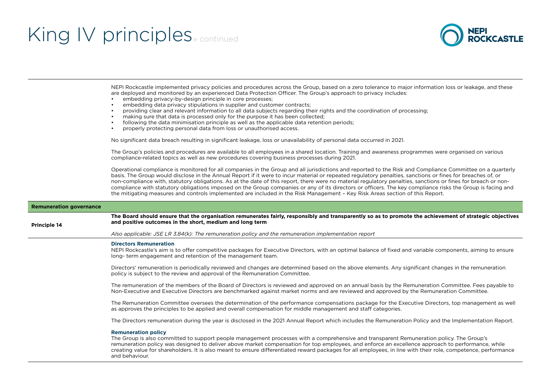

NEPI Rockcastle implemented privacy policies and procedures across the Group, based on a zero tolerance to major information loss or leakage, and these are deployed and monitored by an experienced Data Protection Officer. The Group's approach to privacy includes:

- embedding privacy-by-design principle in core processes:
- embedding data privacy stipulations in supplier and customer contracts;
- providing clear and relevant information to all data subjects regarding their rights and the coordination of processing;
- making sure that data is processed only for the purpose it has been collected;
- following the data minimisation principle as well as the applicable data retention periods;
- properly protecting personal data from loss or unauthorised access.

No significant data breach resulting in significant leakage, loss or unavailability of personal data occurred in 2021.

The Group's policies and procedures are available to all employees in a shared location. Training and awareness programmes were organised on various compliance-related topics as well as new procedures covering business processes during 2021.

Operational compliance is monitored for all companies in the Group and all jurisdictions and reported to the Risk and Compliance Committee on a quarterly basis. The Group would disclose in the Annual Report if it were to incur material or repeated regulatory penalties, sanctions or fines for breaches of, or non-compliance with, statutory obligations. As at the date of this report, there were no material regulatory penalties, sanctions or fines for breach or noncompliance with statutory obligations imposed on the Group companies or any of its directors or officers. The key compliance risks the Group is facing and the mitigating measures and controls implemented are included in the Risk Management – Key Risk Areas section of this Report.

| <b>Remuneration governance</b> |                                                                                                                                                                                                                                                                                                                                                                                                                                                                                                                 |
|--------------------------------|-----------------------------------------------------------------------------------------------------------------------------------------------------------------------------------------------------------------------------------------------------------------------------------------------------------------------------------------------------------------------------------------------------------------------------------------------------------------------------------------------------------------|
| Principle 14                   | The Board should ensure that the organisation remunerates fairly, responsibly and transparently so as to promote the achievement of strategic objectives<br>and positive outcomes in the short, medium and long term                                                                                                                                                                                                                                                                                            |
|                                | Also applicable: JSE LR 3.84(k): The remuneration policy and the remuneration implementation report                                                                                                                                                                                                                                                                                                                                                                                                             |
|                                | <b>Directors Remuneration</b><br>NEPI Rockcastle's aim is to offer competitive packages for Executive Directors, with an optimal balance of fixed and variable components, aiming to ensure<br>long- term engagement and retention of the management team.                                                                                                                                                                                                                                                      |
|                                | Directors' remuneration is periodically reviewed and changes are determined based on the above elements. Any significant changes in the remuneration<br>policy is subject to the review and approval of the Remuneration Committee.                                                                                                                                                                                                                                                                             |
|                                | The remuneration of the members of the Board of Directors is reviewed and approved on an annual basis by the Remuneration Committee. Fees payable to<br>Non-Executive and Executive Directors are benchmarked against market norms and are reviewed and approved by the Remuneration Committee.                                                                                                                                                                                                                 |
|                                | The Remuneration Committee oversees the determination of the performance compensations package for the Executive Directors, top management as well<br>as approves the principles to be applied and overall compensation for middle management and staff categories.                                                                                                                                                                                                                                             |
|                                | The Directors remuneration during the year is disclosed in the 2021 Annual Report which includes the Remuneration Policy and the Implementation Report.                                                                                                                                                                                                                                                                                                                                                         |
|                                | <b>Remuneration policy</b><br>The Group is also committed to support people management processes with a comprehensive and transparent Remuneration policy. The Group's<br>remuneration policy was designed to deliver above market compensation for top employees, and enforce an excellence approach to performance, while<br>creating value for shareholders. It is also meant to ensure differentiated reward packages for all employees, in line with their role, competence, performance<br>and behaviour. |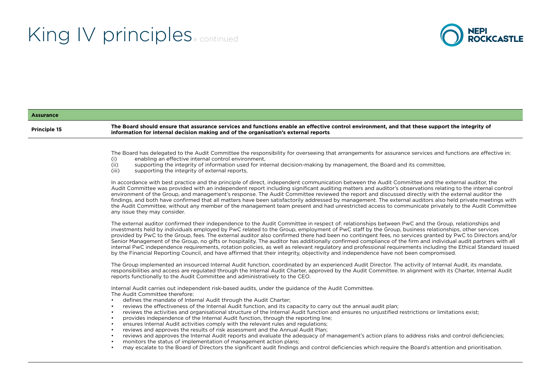

#### **Assurance Principle 15 The Board should ensure that assurance services and functions enable an effective control environment, and that these support the integrity of information for internal decision making and of the organisation's external reports** The Board has delegated to the Audit Committee the responsibility for overseeing that arrangements for assurance services and functions are effective in:<br>(i) enabling an effective internal control environment. (i) enabling an effective internal control environment,<br>(ii) supporting the integrity of information used for int (ii) supporting the integrity of information used for internal decision-making by management, the Board and its committee, (iii) supporting the integrity of external reports supporting the integrity of external reports, In accordance with best practice and the principle of direct, independent communication between the Audit Committee and the external auditor, the Audit Committee was provided with an independent report including significant auditing matters and auditor's observations relating to the internal control environment of the Group, and management's response. The Audit Committee reviewed the report and discussed directly with the external auditor the findings, and both have confirmed that all matters have been satisfactorily addressed by management. The external auditors also held private meetings with the Audit Committee, without any member of the management team present and had unrestricted access to communicate privately to the Audit Committee any issue they may consider. The external auditor confirmed their independence to the Audit Committee in respect of: relationships between PwC and the Group, relationships and investments held by individuals employed by PwC related to the Group, employment of PwC staff by the Group, business relationships, other services provided by PwC to the Group, fees. The external auditor also confirmed there had been no contingent fees, no services granted by PwC to Directors and/or Senior Management of the Group, no gifts or hospitality. The auditor has additionally confirmed compliance of the firm and individual audit partners with all internal PwC independence requirements, rotation policies, as well as relevant regulatory and professional requirements including the Ethical Standard issued by the Financial Reporting Council, and have affirmed that their integrity, objectivity and independence have not been compromised. The Group implemented an insourced Internal Audit function, coordinated by an experienced Audit Director. The activity of Internal Audit, its mandate, responsibilities and access are regulated through the Internal Audit Charter, approved by the Audit Committee. In alignment with its Charter, Internal Audit reports functionally to the Audit Committee and administratively to the CEO. Internal Audit carries out independent risk-based audits, under the guidance of the Audit Committee. The Audit Committee therefore: • defines the mandate of Internal Audit through the Audit Charter; • reviews the effectiveness of the Internal Audit function, and its capacity to carry out the annual audit plan; • reviews the activities and organisational structure of the Internal Audit function and ensures no unjustified restrictions or limitations exist; • provides independence of the Internal Audit function, through the reporting line; • ensures Internal Audit activities comply with the relevant rules and regulations; • reviews and approves the results of risk assessment and the Annual Audit Plan; • reviews and approves the Internal Audit reports and evaluate the adequacy of management's action plans to address risks and control deficiencies; • monitors the status of implementation of management action plans; • may escalate to the Board of Directors the significant audit findings and control deficiencies which require the Board's attention and prioritisation.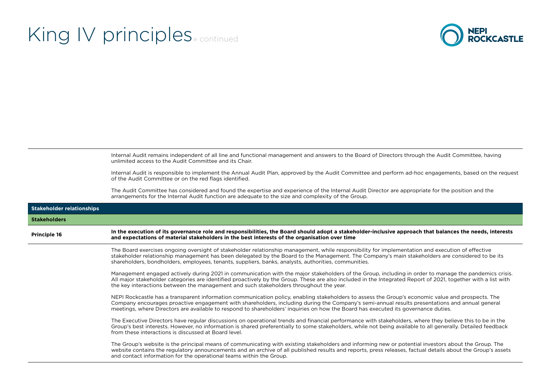

Internal Audit remains independent of all line and functional management and answers to the Board of Directors through the Audit Committee, having unlimited access to the Audit Committee and its Chair.

Internal Audit is responsible to implement the Annual Audit Plan, approved by the Audit Committee and perform ad-hoc engagements, based on the request of the Audit Committee or on the red flags identified.

The Audit Committee has considered and found the expertise and experience of the Internal Audit Director are appropriate for the position and the arrangements for the Internal Audit function are adequate to the size and complexity of the Group.

| <b>Stakeholder relationships</b> |                                                                                                                                                                                                                                                                                                                                                                                                                                           |
|----------------------------------|-------------------------------------------------------------------------------------------------------------------------------------------------------------------------------------------------------------------------------------------------------------------------------------------------------------------------------------------------------------------------------------------------------------------------------------------|
| <b>Stakeholders</b>              |                                                                                                                                                                                                                                                                                                                                                                                                                                           |
| <b>Principle 16</b>              | In the execution of its governance role and responsibilities, the Board should adopt a stakeholder-inclusive approach that balances the needs, interests<br>and expectations of material stakeholders in the best interests of the organisation over time                                                                                                                                                                                 |
|                                  | The Board exercises ongoing oversight of stakeholder relationship management, while responsibility for implementation and execution of effective<br>stakeholder relationship management has been delegated by the Board to the Management. The Company's main stakeholders are considered to be its<br>shareholders, bondholders, employees, tenants, suppliers, banks, analysts, authorities, communities.                               |
|                                  | Management engaged actively during 2021 in communication with the major stakeholders of the Group, including in order to manage the pandemics crisis.<br>All major stakeholder categories are identified proactively by the Group. These are also included in the Integrated Report of 2021, together with a list with<br>the key interactions between the management and such stakeholders throughout the year.                          |
|                                  | NEPI Rockcastle has a transparent information communication policy, enabling stakeholders to assess the Group's economic value and prospects. The<br>Company encourages proactive engagement with shareholders, including during the Company's semi-annual results presentations and annual general<br>meetings, where Directors are available to respond to shareholders' inquiries on how the Board has executed its governance duties. |
|                                  | The Executive Directors have regular discussions on operational trends and financial performance with stakeholders, where they believe this to be in the<br>Group's best interests. However, no information is shared preferentially to some stakeholders, while not being available to all generally. Detailed feedback<br>from these interactions is discussed at Board level.                                                          |
|                                  | The Group's website is the principal means of communicating with existing stakeholders and informing new or potential investors about the Group. The<br>website contains the regulatory announcements and an archive of all published results and reports, press releases, factual details about the Group's assets<br>and contact information for the operational teams within the Group.                                                |